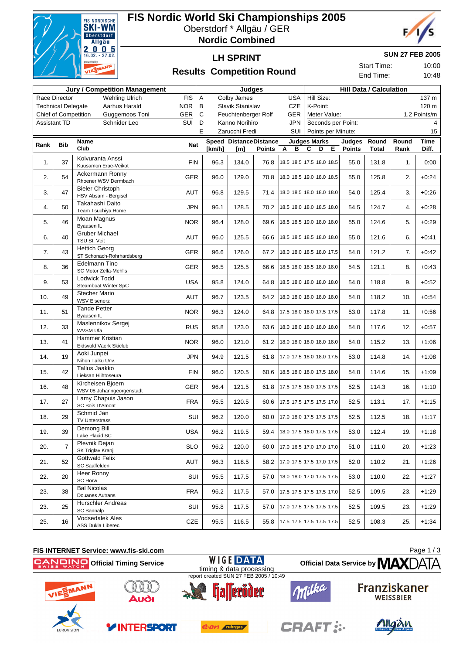

### **FIS Nordic World Ski Championships 2005** Oberstdorf \* Allgäu / GER

**Nordic Combined**





**SUN 27 FEB 2005**

Start Time: 10:00 End Time: 10:48

```
Results Competition Round
```

| <b>Jury / Competition Management</b>          |                |                                                 |            |                          |      | Judges         |                        |                   | <b>Hill Data / Calculation</b>  |                      |       |       |         |  |
|-----------------------------------------------|----------------|-------------------------------------------------|------------|--------------------------|------|----------------|------------------------|-------------------|---------------------------------|----------------------|-------|-------|---------|--|
|                                               | Race Director  | <b>Wehling Ulrich</b>                           | <b>FIS</b> | Α                        |      | Colby James    |                        | <b>USA</b><br>CZE | Hill Size:                      |                      |       |       | 137 m   |  |
| <b>Technical Delegate</b><br>Aarhus Harald    |                |                                                 | <b>NOR</b> | В<br>Slavik Stanislav    |      |                |                        |                   | K-Point:<br>120 m               |                      |       |       |         |  |
| <b>Chief of Competition</b><br>Guggemoos Toni |                |                                                 | GER        | C<br>Feuchtenberger Rolf |      |                |                        | GER               | Meter Value:<br>1.2 Points/m    |                      |       |       |         |  |
| <b>Assistant TD</b><br>Schnider Leo           |                |                                                 | SUI        | D                        |      | Kanno Norihiro |                        | <b>JPN</b>        | Seconds per Point:              |                      |       |       | 4       |  |
|                                               |                |                                                 |            | E.                       |      | Zarucchi Fredi |                        | SUI               | Points per Minute:              |                      |       | 15    |         |  |
| Rank                                          | Bib            | Name                                            | <b>Nat</b> |                          |      |                | Speed DistanceDistance |                   | <b>Judges Marks</b><br>C        | Judges<br>D E Points | Round | Round | Time    |  |
|                                               |                | Club                                            |            | [km/h]                   |      | [m]            | <b>Points</b>          | B<br>A            |                                 |                      | Total | Rank  | Diff.   |  |
| 1.                                            | 37             | Koivuranta Anssi<br>Kuusamon Erae-Veikot        | <b>FIN</b> |                          | 96.3 | 134.0          | 76.8                   |                   | 18.5 18.5 17.5 18.0 18.5        | 55.0                 | 131.8 | 1.    | 0:00    |  |
|                                               |                | Ackermann Ronny                                 |            |                          |      |                |                        |                   |                                 |                      |       |       |         |  |
| 2.                                            | 54             | Rhoener WSV Dermbach                            | <b>GER</b> |                          | 96.0 | 129.0          | 70.8                   |                   | 18.0 18.5 19.0 18.0 18.5        | 55.0                 | 125.8 | 2.    | $+0:24$ |  |
| 3.                                            | 47             | <b>Bieler Christoph</b>                         | <b>AUT</b> |                          | 96.8 | 129.5          | 71.4                   |                   | 18.0 18.5 18.0 18.0 18.0        | 54.0                 | 125.4 | 3.    | $+0:26$ |  |
|                                               |                | HSV Absam - Bergisel<br>Takahashi Daito         |            |                          |      |                |                        |                   |                                 |                      |       |       |         |  |
| 4.                                            | 50             | Team Tsuchiya Home                              | <b>JPN</b> |                          | 96.1 | 128.5          |                        |                   | 70.2 18.5 18.0 18.0 18.5 18.0   | 54.5                 | 124.7 | 4.    | $+0:28$ |  |
|                                               | 46             | Moan Magnus                                     |            |                          |      |                |                        |                   | 18.5 18.5 19.0 18.0 18.0        |                      |       | 5.    |         |  |
| 5.                                            |                | Byaasen IL                                      | <b>NOR</b> |                          | 96.4 | 128.0          | 69.6                   |                   |                                 | 55.0                 | 124.6 |       | $+0:29$ |  |
| 6.                                            | 40             | <b>Gruber Michael</b>                           | AUT        |                          | 96.0 | 125.5          | 66.6                   |                   | 18.5 18.5 18.5 18.0 18.0        | 55.0                 | 121.6 | 6.    | $+0:41$ |  |
|                                               |                | TSU St. Veit<br><b>Hettich Georg</b>            |            |                          |      |                |                        |                   |                                 |                      |       |       |         |  |
| 7.                                            | 43             | ST Schonach-Rohrhardsberg                       | <b>GER</b> |                          | 96.6 | 126.0          | 67.2                   |                   | 18.0 18.0 18.5 18.0 17.5        | 54.0                 | 121.2 | 7.    | $+0:42$ |  |
| 8.                                            | 36             | Edelmann Tino                                   | <b>GER</b> |                          | 96.5 | 125.5          | 66.6                   |                   | 18.5 18.0 18.5 18.0 18.0        | 54.5                 | 121.1 | 8.    | $+0:43$ |  |
|                                               |                | SC Motor Zella-Mehlis                           |            |                          |      |                |                        |                   |                                 |                      |       |       |         |  |
| 9.                                            | 53             | Lodwick Todd<br>Steamboat Winter SpC            | <b>USA</b> |                          | 95.8 | 124.0          |                        |                   | 64.8   18.5 18.0 18.0 18.0 18.0 | 54.0                 | 118.8 | 9.    | $+0:52$ |  |
|                                               |                | <b>Stecher Mario</b>                            |            |                          |      |                |                        |                   |                                 |                      |       |       |         |  |
| 10.                                           | 49             | <b>WSV Eisenerz</b>                             | <b>AUT</b> |                          | 96.7 | 123.5          | 64.2                   |                   | 18.0 18.0 18.0 18.0 18.0        | 54.0                 | 118.2 | 10.   | $+0:54$ |  |
| 11.                                           | 51             | <b>Tande Petter</b>                             | <b>NOR</b> |                          | 96.3 | 124.0          | 64.8                   |                   | 17.5 18.0 18.0 17.5 17.5        | 53.0                 | 117.8 | 11.   | $+0:56$ |  |
|                                               |                | Byaasen IL<br>Maslennikov Sergej                |            |                          |      |                |                        |                   |                                 |                      |       |       |         |  |
| 12.                                           | 33             | <b>WVSM Ufa</b>                                 | <b>RUS</b> |                          | 95.8 | 123.0          | 63.6                   |                   | 18.0 18.0 18.0 18.0 18.0        | 54.0                 | 117.6 | 12.   | $+0:57$ |  |
| 13.                                           | 41             | Hammer Kristian                                 | <b>NOR</b> |                          | 96.0 | 121.0          | 61.2                   |                   | 18.0 18.0 18.0 18.0 18.0        | 54.0                 | 115.2 | 13.   | $+1:06$ |  |
|                                               |                | Eidsvold Vaerk Skiclub                          |            |                          |      |                |                        |                   |                                 |                      |       |       |         |  |
| 14.                                           | 19             | Aoki Junpei<br>Nihon Taiku Unv.                 | <b>JPN</b> |                          | 94.9 | 121.5          |                        |                   | 61.8 17.0 17.5 18.0 18.0 17.5   | 53.0                 | 114.8 | 14.   | $+1:08$ |  |
|                                               |                | Tallus Jaakko                                   |            |                          |      |                |                        |                   |                                 |                      |       |       |         |  |
| 15.                                           | 42             | Lieksan Hiihtoseura                             | <b>FIN</b> |                          | 96.0 | 120.5          |                        |                   | 60.6 18.5 18.0 18.0 17.5 18.0   | 54.0                 | 114.6 | 15.   | $+1:09$ |  |
| 16.                                           | 48             | Kircheisen Bjoern                               | <b>GER</b> |                          | 96.4 | 121.5          | 61.8                   |                   | 17.5 17.5 18.0 17.5 17.5        | 52.5                 | 114.3 | 16.   | $+1:10$ |  |
|                                               |                | WSV 08 Johanngeorgenstadt<br>Lamy Chapuis Jason |            |                          |      |                |                        |                   |                                 |                      |       |       |         |  |
| 17.                                           | 27             | SC Bois D'Amont                                 | <b>FRA</b> |                          | 95.5 | 120.5          |                        |                   | 60.6 17.5 17.5 17.5 17.5 17.0   | 52.5                 | 113.1 | 17.   | $+1:15$ |  |
| 18.                                           | 29             | Schmid Jan                                      | SUI        |                          | 96.2 | 120.0          | 60.0                   |                   | 17.0 18.0 17.5 17.5 17.5        | 52.5                 | 112.5 | 18.   | $+1:17$ |  |
|                                               |                | <b>TV Unterstrass</b>                           |            |                          |      |                |                        |                   |                                 |                      |       |       |         |  |
| 19.                                           | 39             | Demong Bill<br>Lake Placid SC                   | <b>USA</b> |                          | 96.2 | 119.5          |                        |                   | 59.4 18.0 17.5 18.0 17.5 17.5   | 53.0                 | 112.4 | 19.   | $+1:18$ |  |
|                                               |                | Plevnik Dejan                                   |            |                          |      |                |                        |                   |                                 |                      |       |       |         |  |
| 20.                                           | $\overline{7}$ | SK Triglav Kranj                                | <b>SLO</b> |                          | 96.2 | 120.0          | 60.0                   |                   | 17.0 16.5 17.0 17.0 17.0        | 51.0                 | 111.0 | 20.   | $+1:23$ |  |
| 21.                                           | 52             | <b>Gottwald Felix</b>                           | <b>AUT</b> |                          | 96.3 | 118.5          | 58.2                   |                   | 17.0 17.5 17.5 17.0 17.5        | 52.0                 | 110.2 | 21.   | $+1:26$ |  |
|                                               |                | SC Saalfelden<br>Heer Ronny                     |            |                          |      |                |                        |                   |                                 |                      |       |       |         |  |
| 22.                                           | 20             | SC Horw                                         | SUI        |                          | 95.5 | 117.5          | 57.0                   |                   | 18.0 18.0 17.0 17.5 17.5        | 53.0                 | 110.0 | 22.   | $+1:27$ |  |
| 23.                                           | 38             | <b>Bal Nicolas</b>                              | <b>FRA</b> |                          | 96.2 | 117.5          |                        |                   | 57.0 17.5 17.5 17.5 17.5 17.0   | 52.5                 | 109.5 |       | $+1:29$ |  |
|                                               |                | Douanes Autrans                                 |            |                          |      |                |                        |                   |                                 |                      |       | 23.   |         |  |
| 23.                                           | 25             | Hurschler Andreas<br>SC Bannalp                 | SUI        |                          | 95.8 | 117.5          | 57.0                   |                   | 17.0 17.5 17.5 17.5 17.5        | 52.5                 | 109.5 | 23.   | $+1:29$ |  |
|                                               |                | <b>Vodsedalek Ales</b>                          |            |                          |      |                |                        |                   |                                 |                      |       |       |         |  |
| 25.                                           | 16             | ASS Dukla Liberec                               | CZE        |                          | 95.5 | 116.5          | 55.8                   |                   | 17.5 17.5 17.5 17.5 17.5        | 52.5                 | 108.3 | 25.   | $+1:34$ |  |

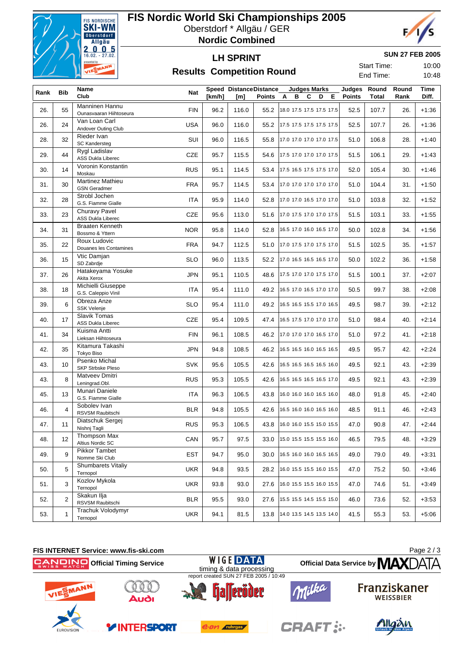

## **FIS Nordic World Ski Championships 2005**

Oberstdorf \* Allgäu / GER

**Nordic Combined**

# F

**LH SPRINT Results Competition Round** 

#### **SUN 27 FEB 2005**

Start Time: 10:00 End Time: 10:48

|      |                | Name                                             |            |        | <b>Speed DistanceDistance</b> |        | <b>Judges Marks</b>      | Judges        | Round        | Round | Time    |
|------|----------------|--------------------------------------------------|------------|--------|-------------------------------|--------|--------------------------|---------------|--------------|-------|---------|
| Rank | Bib            | Club                                             | Nat        | [km/h] | [m]                           | Points | в<br>C<br>D<br>E.<br>A   | <b>Points</b> | <b>Total</b> | Rank  | Diff.   |
| 26.  | 55             | <b>Manninen Hannu</b><br>Ounasvaaran Hiihtoseura | <b>FIN</b> | 96.2   | 116.0                         | 55.2   | 18.0 17.5 17.5 17.5 17.5 | 52.5          | 107.7        | 26.   | $+1:36$ |
| 26.  | 24             | Van Loan Carl<br>Andover Outing Club             | <b>USA</b> | 96.0   | 116.0                         | 55.2   | 17.5 17.5 17.5 17.5 17.5 | 52.5          | 107.7        | 26.   | $+1:36$ |
| 28.  | 32             | Rieder Ivan<br>SC Kandersteg                     | SUI        | 96.0   | 116.5                         | 55.8   | 17.0 17.0 17.0 17.0 17.5 | 51.0          | 106.8        | 28.   | $+1:40$ |
| 29.  | 44             | Rygl Ladislav<br><b>ASS Dukla Liberec</b>        | CZE        | 95.7   | 115.5                         | 54.6   | 17.5 17.0 17.0 17.0 17.5 | 51.5          | 106.1        | 29.   | $+1:43$ |
| 30.  | 14             | Voronin Konstantin<br>Moskau                     | <b>RUS</b> | 95.1   | 114.5                         | 53.4   | 17.5 16.5 17.5 17.5 17.0 | 52.0          | 105.4        | 30.   | $+1:46$ |
| 31.  | 30             | <b>Martinez Mathieu</b><br><b>GSN Geradmer</b>   | <b>FRA</b> | 95.7   | 114.5                         | 53.4   | 17.0 17.0 17.0 17.0 17.0 | 51.0          | 104.4        | 31.   | $+1:50$ |
| 32.  | 28             | Strobl Jochen<br>G.S. Fiamme Gialle              | ITA        | 95.9   | 114.0                         | 52.8   | 17.0 17.0 16.5 17.0 17.0 | 51.0          | 103.8        | 32.   | $+1:52$ |
| 33.  | 23             | <b>Churavy Pavel</b><br>ASS Dukla Liberec        | CZE        | 95.6   | 113.0                         | 51.6   | 17.0 17.5 17.0 17.0 17.5 | 51.5          | 103.1        | 33.   | $+1:55$ |
| 34.  | 31             | <b>Braaten Kenneth</b><br>Bossmo & Yttern        | <b>NOR</b> | 95.8   | 114.0                         | 52.8   | 16.5 17.0 16.0 16.5 17.0 | 50.0          | 102.8        | 34.   | $+1:56$ |
| 35.  | 22             | Roux Ludovic<br>Douanes les Contamines           | <b>FRA</b> | 94.7   | 112.5                         | 51.0   | 17.0 17.5 17.0 17.5 17.0 | 51.5          | 102.5        | 35.   | $+1:57$ |
| 36.  | 15             | Vtic Damjan<br>SD Zabrdje                        | <b>SLO</b> | 96.0   | 113.5                         | 52.2   | 17.0 16.5 16.5 16.5 17.0 | 50.0          | 102.2        | 36.   | $+1:58$ |
| 37.  | 26             | Hatakeyama Yosuke<br>Akita Xerox                 | <b>JPN</b> | 95.1   | 110.5                         | 48.6   | 17.5 17.0 17.0 17.5 17.0 | 51.5          | 100.1        | 37.   | $+2:07$ |
| 38.  | 18             | Michielli Giuseppe<br>G.S. Caleppio Vinil        | ITA        | 95.4   | 111.0                         | 49.2   | 16.5 17.0 16.5 17.0 17.0 | 50.5          | 99.7         | 38.   | $+2:08$ |
| 39.  | 6              | Obreza Anze<br><b>SSK Velenje</b>                | <b>SLO</b> | 95.4   | 111.0                         | 49.2   | 16.5 16.5 15.5 17.0 16.5 | 49.5          | 98.7         | 39.   | $+2:12$ |
| 40.  | 17             | <b>Slavik Tomas</b><br><b>ASS Dukla Liberec</b>  | CZE        | 95.4   | 109.5                         | 47.4   | 16.5 17.5 17.0 17.0 17.0 | 51.0          | 98.4         | 40.   | $+2:14$ |
| 41.  | 34             | Kuisma Antti<br>Lieksan Hiihtoseura              | <b>FIN</b> | 96.1   | 108.5                         | 46.2   | 17.0 17.0 17.0 16.5 17.0 | 51.0          | 97.2         | 41.   | $+2:18$ |
| 42.  | 35             | Kitamura Takashi<br>Tokyo Biso                   | <b>JPN</b> | 94.8   | 108.5                         | 46.2   | 16.5 16.5 16.0 16.5 16.5 | 49.5          | 95.7         | 42.   | $+2:24$ |
| 43.  | 10             | Psenko Michal<br><b>SKP Strbske Pleso</b>        | <b>SVK</b> | 95.6   | 105.5                         | 42.6   | 16.5 16.5 16.5 16.5 16.0 | 49.5          | 92.1         | 43.   | $+2:39$ |
| 43.  | 8              | Matveev Dmitri<br>Leningrad.Obl.                 | <b>RUS</b> | 95.3   | 105.5                         | 42.6   | 16.5 16.5 16.5 16.5 17.0 | 49.5          | 92.1         | 43.   | $+2:39$ |
| 45.  | 13             | Munari Daniele<br>G.S. Fiamme Gialle             | ITA        | 96.3   | 106.5                         | 43.8   | 16.0 16.0 16.0 16.5 16.0 | 48.0          | 91.8         | 45.   | $+2:40$ |
| 46.  | $\overline{4}$ | Sobolev Ivan<br>RSVSM Raubitschi                 | <b>BLR</b> | 94.8   | 105.5                         | 42.6   | 16.5 16.0 16.0 16.5 16.0 | 48.5          | 91.1         | 46.   | $+2:43$ |
| 47.  | 11             | Diatschuk Sergej<br>Nishnj Tagli                 | <b>RUS</b> | 95.3   | 106.5                         | 43.8   | 16.0 16.0 15.5 15.0 15.5 | 47.0          | 90.8         | 47.   | $+2:44$ |
| 48.  | 12             | Thompson Max<br>Altius Nordic SC                 | CAN        | 95.7   | 97.5                          | 33.0   | 15.0 15.5 15.5 15.5 16.0 | 46.5          | 79.5         | 48.   | $+3:29$ |
| 49.  | 9              | Pikkor Tambet<br>Nomme Ski Club                  | <b>EST</b> | 94.7   | 95.0                          | 30.0   | 16.5 16.0 16.0 16.5 16.5 | 49.0          | 79.0         | 49.   | $+3:31$ |
| 50.  | 5              | <b>Shumbarets Vitaliy</b><br>Ternopol            | <b>UKR</b> | 94.8   | 93.5                          | 28.2   | 16.0 15.5 15.5 16.0 15.5 | 47.0          | 75.2         | 50.   | $+3:46$ |
| 51.  | 3              | Kozlov Mykola<br>Ternopol                        | <b>UKR</b> | 93.8   | 93.0                          | 27.6   | 16.0 15.5 15.5 16.0 15.5 | 47.0          | 74.6         | 51.   | $+3:49$ |
| 52.  | $\overline{2}$ | Skakun Ilja<br>RSVSM Raubitschi                  | <b>BLR</b> | 95.5   | 93.0                          | 27.6   | 15.5 15.5 14.5 15.5 15.0 | 46.0          | 73.6         | 52.   | $+3:53$ |
| 53.  | $\mathbf{1}$   | Trachuk Volodymyr<br>Ternopol                    | <b>UKR</b> | 94.1   | 81.5                          | 13.8   | 14.0 13.5 14.5 13.5 14.0 | 41.5          | 55.3         | 53.   | +5:06   |